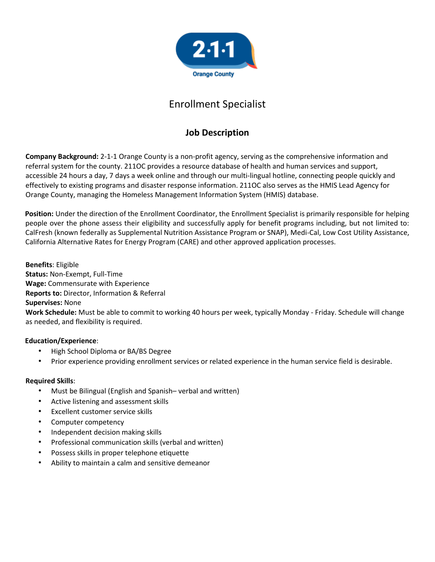

# Enrollment Specialist

# **Job Description**

**Company Background:** 2-1-1 Orange County is a non-profit agency, serving as the comprehensive information and referral system for the county. 211OC provides a resource database of health and human services and support, accessible 24 hours a day, 7 days a week online and through our multi-lingual hotline, connecting people quickly and effectively to existing programs and disaster response information. 211OC also serves as the HMIS Lead Agency for Orange County, managing the Homeless Management Information System (HMIS) database.

**Position:** Under the direction of the Enrollment Coordinator, the Enrollment Specialist is primarily responsible for helping people over the phone assess their eligibility and successfully apply for benefit programs including, but not limited to: CalFresh (known federally as Supplemental Nutrition Assistance Program or SNAP), Medi-Cal, Low Cost Utility Assistance, California Alternative Rates for Energy Program (CARE) and other approved application processes.

**Benefits**: Eligible **Status:** Non-Exempt, Full-Time **Wage:** Commensurate with Experience **Reports to:** Director, Information & Referral **Supervises:** None **Work Schedule:** Must be able to commit to working 40 hours per week, typically Monday - Friday. Schedule will change as needed, and flexibility is required.

## **Education/Experience**:

- High School Diploma or BA/BS Degree
- Prior experience providing enrollment services or related experience in the human service field is desirable.

## **Required Skills**:

- Must be Bilingual (English and Spanish– verbal and written)
- Active listening and assessment skills
- Excellent customer service skills
- Computer competency
- Independent decision making skills
- Professional communication skills (verbal and written)
- Possess skills in proper telephone etiquette
- Ability to maintain a calm and sensitive demeanor